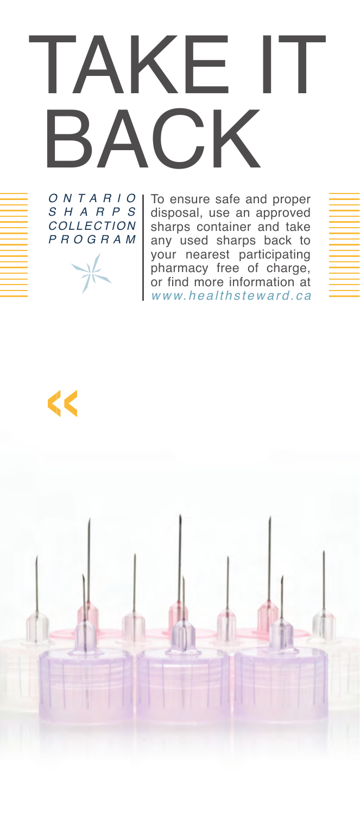# TAKE IT BACK

*ONT ARIO SHARPS COLLECTION PROGRAM*  $\frac{1}{2}$ 

To ensure safe and proper disposal, use an approved sharps container and take any used sharps back to your nearest participating pharmacy free of charge, or find more information at *[www.healthsteward.ca](http:www.healthsteward.ca)*

«

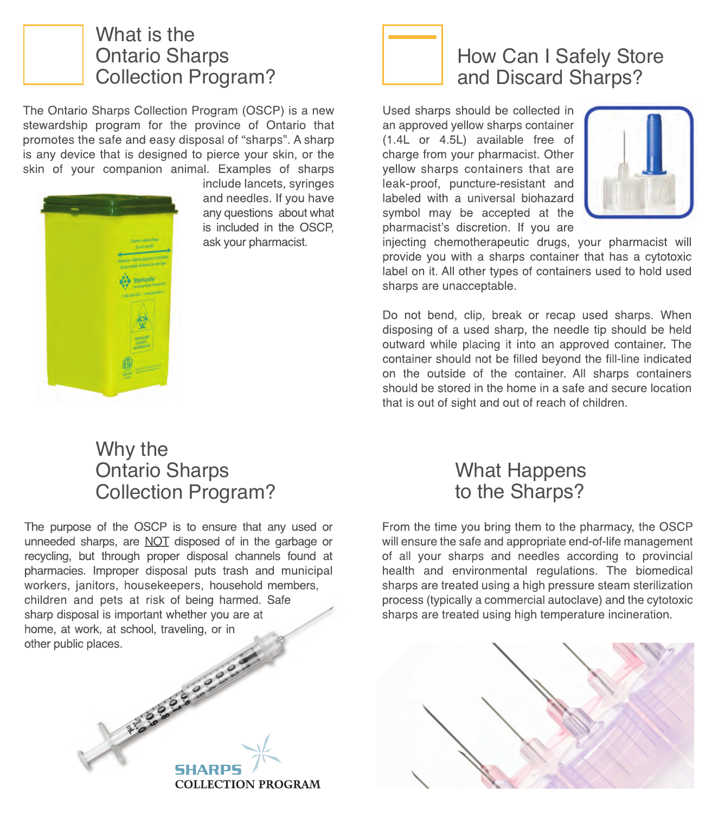

#### What is the Ontario Sharps Collection Program?

The Ontario Sharps Collection Program (OSCP) is a new stewardship program for the province of Ontario that promotes the safe and easy disposal of "sharps". A sharp is any device that is designed to pierce your skin, or the skin of your companion animal. Examples of sharps



include lancets, syringes and needles. If you have any questions about what is included in the OSCP, ask your pharmacist.



#### How Can I Safely Store and Discard Sharps?

Used sharps should be collected in an approved yellow sharps container (1.4L or 4.5L) available free of charge from your pharmacist. Other yellow sharps containers that are leak-proof, puncture-resistant and labeled with a universal biohazard symbol may be accepted at the pharmacist's discretion. If you are



sharps are unacceptable. injecting chemotherapeutic drugs, your pharmacist will provide you with a sharps container that has a cytotoxic label on it. All other types of containers used to hold used

on the outside of the container. All sharps containers Do not bend, clip, break or recap used sharps. When disposing of a used sharp, the needle tip should be held outward while placing it into an approved container. The container should not be filled beyond the fill-line indicated should be stored in the home in a safe and secure location that is out of sight and out of reach of children.

#### Why the Ontario Sharps Collection Program?

The purpose of the OSCP is to ensure that any used or unneeded sharps, are NOT disposed of in the garbage or recycling, but through proper disposal channels found at pharmacies. Improper disposal puts trash and municipal workers, janitors, housekeepers, household members, children and pets at risk of being harmed. Safe sharp disposal is important whether you are at home, at work, at school, traveling, or in other public places.

EFS 50 20 3000

**COLLECTION PROGRAM** 



health and environmental regulations. The biomedical From the time you bring them to the pharmacy, the OSCP will ensure the safe and appropriate end-of-life management of all your sharps and needles according to provincial sharps are treated using a high pressure steam sterilization process (typically a commercial autoclave) and the cytotoxic sharps are treated using high temperature incineration.